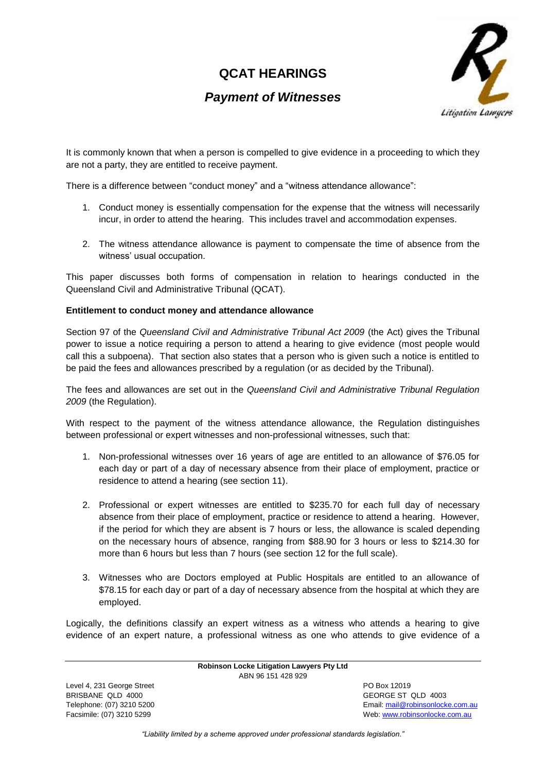# **QCAT HEARINGS**

## *Payment of Witnesses*



It is commonly known that when a person is compelled to give evidence in a proceeding to which they are not a party, they are entitled to receive payment.

There is a difference between "conduct money" and a "witness attendance allowance":

- 1. Conduct money is essentially compensation for the expense that the witness will necessarily incur, in order to attend the hearing. This includes travel and accommodation expenses.
- 2. The witness attendance allowance is payment to compensate the time of absence from the witness' usual occupation.

This paper discusses both forms of compensation in relation to hearings conducted in the Queensland Civil and Administrative Tribunal (QCAT).

### **Entitlement to conduct money and attendance allowance**

Section 97 of the *Queensland Civil and Administrative Tribunal Act 2009* (the Act) gives the Tribunal power to issue a notice requiring a person to attend a hearing to give evidence (most people would call this a subpoena). That section also states that a person who is given such a notice is entitled to be paid the fees and allowances prescribed by a regulation (or as decided by the Tribunal).

The fees and allowances are set out in the *Queensland Civil and Administrative Tribunal Regulation 2009* (the Regulation).

With respect to the payment of the witness attendance allowance, the Regulation distinguishes between professional or expert witnesses and non-professional witnesses, such that:

- 1. Non-professional witnesses over 16 years of age are entitled to an allowance of \$76.05 for each day or part of a day of necessary absence from their place of employment, practice or residence to attend a hearing (see section 11).
- 2. Professional or expert witnesses are entitled to \$235.70 for each full day of necessary absence from their place of employment, practice or residence to attend a hearing. However, if the period for which they are absent is 7 hours or less, the allowance is scaled depending on the necessary hours of absence, ranging from \$88.90 for 3 hours or less to \$214.30 for more than 6 hours but less than 7 hours (see section 12 for the full scale).
- 3. Witnesses who are Doctors employed at Public Hospitals are entitled to an allowance of \$78.15 for each day or part of a day of necessary absence from the hospital at which they are employed.

Logically, the definitions classify an expert witness as a witness who attends a hearing to give evidence of an expert nature, a professional witness as one who attends to give evidence of a

> **Robinson Locke Litigation Lawyers Pty Ltd** ABN 96 151 428 929

Level 4, 231 George Street **PO Box 12019** BRISBANE QLD 4000 GEORGE ST QLD 4003

Telephone: (07) 3210 5200 Email[: mail@robinsonlocke.com.au](mailto:mail@robinsonlocke.com.au) Facsimile: (07) 3210 5299 Web: [www.robinsonlocke.com.au](http://www.robinsonlocke.com.au/)